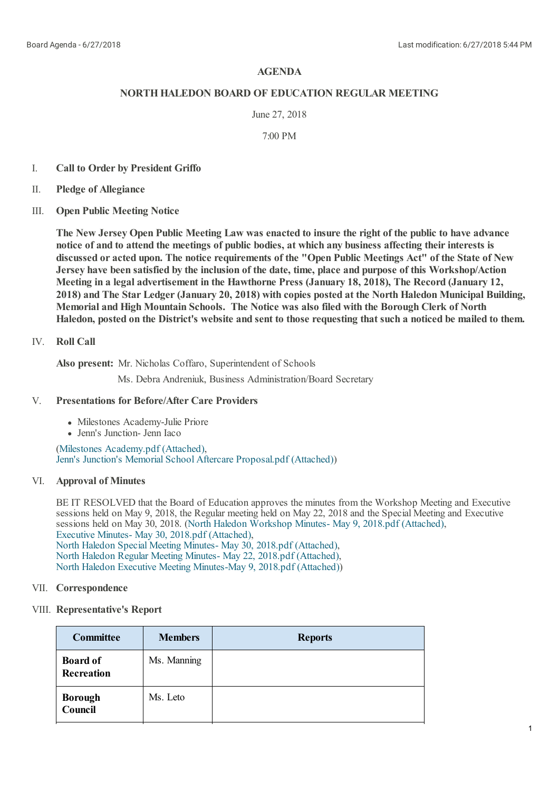# **AGENDA**

## **NORTHHALEDON BOARD OF EDUCATION REGULAR MEETING**

## June 27, 2018

7:00 PM

- I. **Call to Order by President Griffo**
- II. **Pledge of Allegiance**
- III. **Open Public Meeting Notice**

The New Jersey Open Public Meeting Law was enacted to insure the right of the public to have advance **notice of and to attend the meetings of public bodies, at which any business affecting theirinterests is** discussed or acted upon. The notice requirements of the "Open Public Meetings Act" of the State of New **Jersey have been satisfied by the inclusion of the date, time, place and purpose of this Workshop/Action Meeting in a legal advertisement in the Hawthorne Press (January 18, 2018), The Record (January 12, 2018) and The Star Ledger(January 20, 2018) with copies posted at the North Haledon Municipal Building, Memorial and High Mountain Schools. The Notice was also filed with the Borough Clerk of North** Haledon, posted on the District's website and sent to those requesting that such a noticed be mailed to them.

# IV. **Roll Call**

**Also present:** Mr. Nicholas Coffaro, Superintendent of Schools

Ms. Debra Andreniuk, Business Administration/Board Secretary

#### V. **Presentations for Before/After Care Providers**

- Milestones Academy-Julie Priore
- Jenn's Junction- Jenn Iaco

(Milestones [Academy.pdf](https://www.boardconnectnj.com/Item/DownloadAttachment/661) (Attached), Jenn's Junction's Memorial School Aftercare [Proposal.pdf](https://www.boardconnectnj.com/Item/DownloadAttachment/662) (Attached))

# VI. **Approval of Minutes**

BE IT RESOLVED that the Board of Education approves the minutes from the Workshop Meeting and Executive sessions held on May 9, 2018, the Regular meeting held on May 22, 2018 and the Special Meeting and Executive sessions held on May 30, 2018. (North Haledon [Workshop](https://www.boardconnectnj.com/Item/DownloadAttachment/630) Minutes- May 9, 2018.pdf (Attached), Executive Minutes- May 30, 2018.pdf [\(Attached\)](https://www.boardconnectnj.com/Item/DownloadAttachment/633), North Haledon Special Meeting Minutes- May 30, 2018.pdf [\(Attached\)](https://www.boardconnectnj.com/Item/DownloadAttachment/634), North Haledon Regular Meeting Minutes- May 22, 2018.pdf [\(Attached\)](https://www.boardconnectnj.com/Item/DownloadAttachment/644), North Haledon Executive Meeting [Minutes-May](https://www.boardconnectnj.com/Item/DownloadAttachment/656) 9, 2018.pdf (Attached))

### VII. **Correspondence**

# VIII. **Representative's Report**

| <b>Committee</b>                     | <b>Members</b> | <b>Reports</b> |
|--------------------------------------|----------------|----------------|
| <b>Board of</b><br><b>Recreation</b> | Ms. Manning    |                |
| <b>Borough</b><br>Council            | Ms. Leto       |                |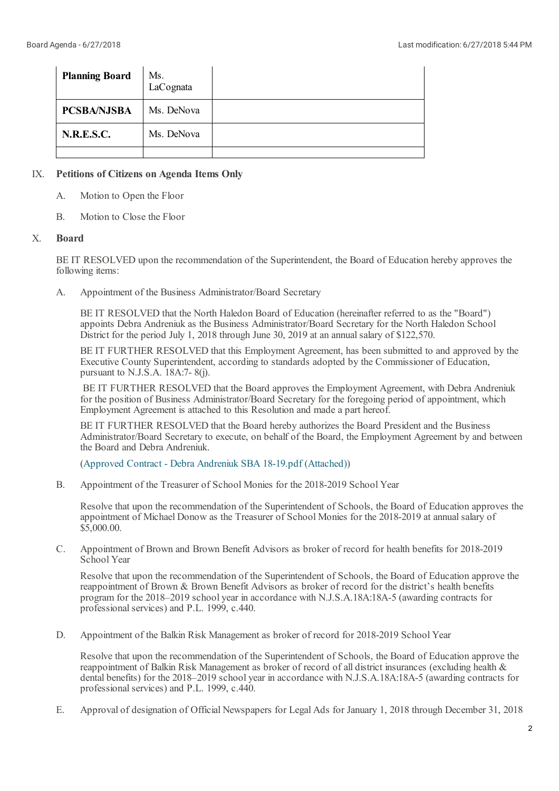| <b>Planning Board</b> | Ms.<br>LaCognata |  |
|-----------------------|------------------|--|
| <b>PCSBA/NJSBA</b>    | Ms. DeNova       |  |
| <b>N.R.E.S.C.</b>     | Ms. DeNova       |  |
|                       |                  |  |

## IX. **Petitions of Citizens on Agenda Items Only**

- A. Motion to Open the Floor
- B. Motion to Close the Floor

#### X. **Board**

BE IT RESOLVED upon the recommendation of the Superintendent, the Board of Education hereby approves the following items:

A. Appointment of the Business Administrator/Board Secretary

BE IT RESOLVED that the North Haledon Board of Education (hereinafter referred to as the "Board") appoints Debra Andreniuk as the Business Administrator/Board Secretary for the North Haledon School District for the period July 1, 2018 through June 30, 2019 at an annual salary of \$122,570.

BE IT FURTHER RESOLVED that this Employment Agreement, has been submitted to and approved by the Executive County Superintendent, according to standards adopted by the Commissioner of Education, pursuant to N.J.S.A. 18A:7- 8(j).

BE IT FURTHER RESOLVED that the Board approves the Employment Agreement, with Debra Andreniuk for the position of Business Administrator/Board Secretary for the foregoing period of appointment, which Employment Agreement is attached to this Resolution and made a part hereof.

BE IT FURTHER RESOLVED that the Board hereby authorizes the Board President and the Business Administrator/Board Secretary to execute, on behalf of the Board, the Employment Agreement by and between the Board and Debra Andreniuk.

(Approved Contract - Debra Andreniuk SBA 18-19.pdf [\(Attached\)](https://www.boardconnectnj.com/Item/DownloadAttachment/660))

B. Appointment of the Treasurer of School Monies for the 2018-2019 School Year

Resolve that upon the recommendation of the Superintendent of Schools, the Board of Education approves the appointment of Michael Donow as the Treasurer of School Monies for the 2018-2019 at annual salary of \$5,000.00.

C. Appointment of Brown and Brown Benefit Advisors as broker of record for health benefits for 2018-2019 School Year

Resolve that upon the recommendation of the Superintendent of Schools, the Board of Education approve the reappointment of Brown & Brown Benefit Advisors as broker of record for the district's health benefits program for the 2018–2019 school year in accordance with N.J.S.A.18A:18A-5 (awarding contracts for professional services) and P.L. 1999, c.440.

D. Appointment of the Balkin Risk Management as broker of record for 2018-2019 School Year

Resolve that upon the recommendation of the Superintendent of Schools, the Board of Education approve the reappointment of Balkin Risk Management as broker of record of all district insurances (excluding health & dental benefits) for the 2018–2019 school year in accordance with N.J.S.A.18A:18A-5 (awarding contracts for professional services) and P.L. 1999, c.440.

E. Approval of designation of Official Newspapers for Legal Ads for January 1, 2018 through December 31, 2018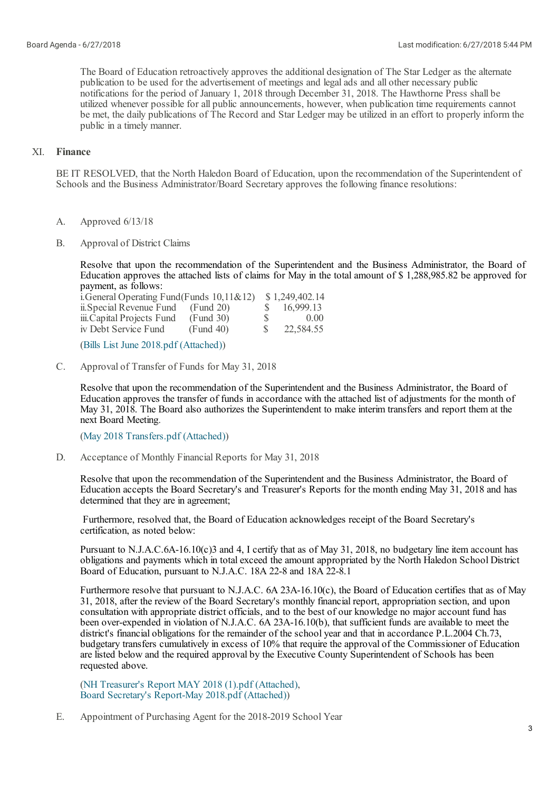The Board of Education retroactively approves the additional designation of The Star Ledger as the alternate publication to be used for the advertisement of meetings and legalads and all other necessary public notifications for the period of January 1, 2018 through December 31, 2018. The Hawthorne Press shall be utilized whenever possible for all public announcements, however, when publication time requirements cannot be met, the daily publications of The Record and Star Ledger may be utilized in an effort to properly inform the public in a timely manner.

# XI. **Finance**

BE IT RESOLVED, that the North Haledon Board of Education, upon the recommendation of the Superintendent of Schools and the Business Administrator/Board Secretary approves the following finance resolutions:

- A. Approved 6/13/18
- B. Approval of District Claims

Resolve that upon the recommendation of the Superintendent and the Business Administrator, the Board of Education approves the attached lists of claims for May in the total amount of \$ 1,288,985.82 be approved for payment, as follows:

| i. General Operating Fund (Funds $10,11 \& 12$ ) |           |              | \$1,249,402.14 |
|--------------------------------------------------|-----------|--------------|----------------|
| ii. Special Revenue Fund                         | (Fund 20) |              | 16,999.13      |
| iii.Capital Projects Fund                        | (Fund 30) | <sup>S</sup> | 0.00           |
| iv Debt Service Fund                             | (Fund 40) | S.           | 22,584.55      |

(Bills List June 2018.pdf [\(Attached\)](https://www.boardconnectnj.com/Item/DownloadAttachment/646))

C. Approval of Transfer of Funds for May 31, 2018

> Resolve that upon the recommendation of the Superintendent and the Business Administrator, the Board of Education approves the transfer of funds in accordance with the attached list of adjustments for the month of May 31, 2018. The Board also authorizes the Superintendent to make interim transfers and report them at the next Board Meeting.

(May 2018 [Transfers.pdf](https://www.boardconnectnj.com/Item/DownloadAttachment/635) (Attached))

D. Acceptance of Monthly Financial Reports for May 31, 2018

Resolve that upon the recommendation of the Superintendent and the Business Administrator, the Board of Education accepts the Board Secretary's and Treasurer's Reports for the month ending May 31, 2018 and has determined that they are in agreement;

Furthermore, resolved that, the Board of Education acknowledges receipt of the Board Secretary's certification, as noted below:

Pursuant to N.J.A.C.6A-16.10(c)3 and 4, I certify that as of May 31, 2018, no budgetary line item account has obligations and payments which in totalexceed the amount appropriated by the North Haledon School District Board of Education, pursuant to N.J.A.C. 18A 22-8 and 18A 22-8.1

Furthermore resolve that pursuant to N.J.A.C. 6A 23A-16.10(c), the Board of Education certifies that as of May 31, 2018, after the review of the Board Secretary's monthly financial report, appropriation section, and upon consultation with appropriate district officials, and to the best of our knowledge no major account fund has been over-expended in violation of N.J.A.C. 6A 23A-16.10(b), that sufficient funds are available to meet the district's financial obligations for the remainder of the school year and that in accordance P.L.2004 Ch.73, budgetary transfers cumulatively in excess of 10% that require the approval of the Commissioner of Education are listed below and the required approval by the Executive County Superintendent of Schools has been requested above.

(NH [Treasurer's](https://www.boardconnectnj.com/Item/DownloadAttachment/648) Report MAY 2018 (1).pdf (Attached), Board Secretary's [Report-May](https://www.boardconnectnj.com/Item/DownloadAttachment/664) 2018.pdf (Attached))

E. Appointment of Purchasing Agent for the 2018-2019 School Year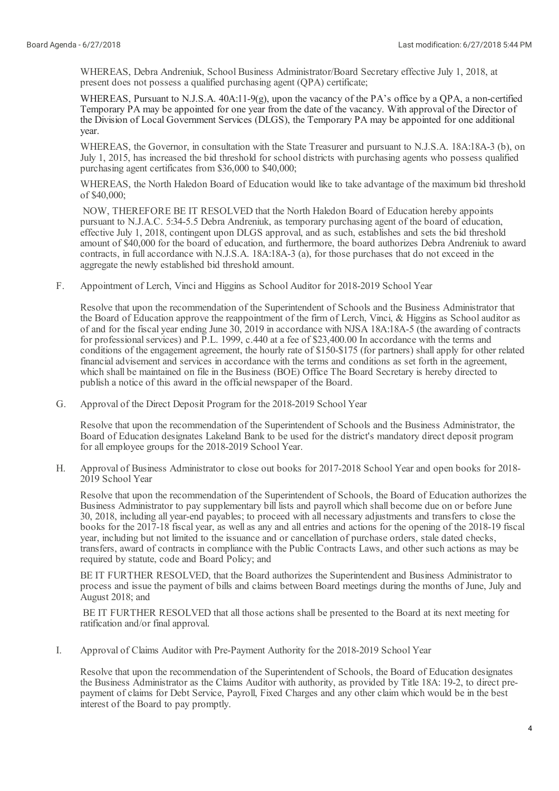WHEREAS, Debra Andreniuk, School Business Administrator/Board Secretary effective July 1, 2018, at present does not possess a qualified purchasing agent (QPA) certificate;

WHEREAS, Pursuant to N.J.S.A. 40A:11-9(g), upon the vacancy of the PA's office by a QPA, a non-certified Temporary PA may be appointed for one year from the date of the vacancy. With approval of the Director of the Division of Local Government Services (DLGS), the Temporary PA may be appointed for one additional year.

WHEREAS, the Governor, in consultation with the State Treasurer and pursuant to N.J.S.A. 18A:18A-3 (b), on July 1, 2015, has increased the bid threshold for school districts with purchasing agents who possess qualified purchasing agent certificates from \$36,000 to \$40,000;

WHEREAS, the North Haledon Board of Education would like to take advantage of the maximum bid threshold of \$40,000;

NOW, THEREFORE BE IT RESOLVED that the North Haledon Board of Education hereby appoints pursuant to N.J.A.C. 5:34-5.5 Debra Andreniuk, as temporary purchasing agent of the board of education, effective July 1, 2018, contingent upon DLGS approval, and as such, establishes and sets the bid threshold amount of \$40,000 for the board of education, and furthermore, the board authorizes Debra Andreniuk to award contracts, in fullaccordance with N.J.S.A. 18A:18A-3 (a), for those purchases that do not exceed in the aggregate the newly established bid threshold amount.

F. Appointment of Lerch, Vinciand Higgins as School Auditor for 2018-2019 School Year

Resolve that upon the recommendation of the Superintendent of Schools and the Business Administrator that the Board of Education approve the reappointment of the firm of Lerch, Vinci, & Higgins as Schoolauditor as of and for the fiscal year ending June 30, 2019 in accordance with NJSA 18A:18A-5 (the awarding of contracts for professional services) and P.L. 1999, c.440 at a fee of \$23,400.00 In accordance with the terms and conditions of the engagement agreement, the hourly rate of \$150-\$175 (for partners) shallapply for other related financialadvisement and services in accordance with the terms and conditions as set forth in the agreement, which shall be maintained on file in the Business (BOE) Office The Board Secretary is hereby directed to publish a notice of this award in the official newspaper of the Board.

G. Approval of the Direct Deposit Program for the 2018-2019 School Year

Resolve that upon the recommendation of the Superintendent of Schools and the Business Administrator, the Board of Education designates Lakeland Bank to be used for the district's mandatory direct deposit program for allemployee groups for the 2018-2019 School Year.

H. Approval of Business Administrator to close out books for 2017-2018 School Year and open books for 2018- 2019 School Year

Resolve that upon the recommendation of the Superintendent of Schools, the Board of Education authorizes the Business Administrator to pay supplementary bill lists and payroll which shall become due on or before June 30, 2018, including all year-end payables; to proceed with all necessary adjustments and transfers to close the books for the 2017-18 fiscal year, as wellas any and allentries and actions for the opening of the 2018-19 fiscal year, including but not limited to the issuance and or cancellation of purchase orders, stale dated checks, transfers, award of contracts in compliance with the Public Contracts Laws, and other such actions as may be required by statute, code and Board Policy; and

BE IT FURTHER RESOLVED, that the Board authorizes the Superintendent and Business Administrator to process and issue the payment of bills and claims between Board meetings during the months of June, July and August 2018; and

BE IT FURTHER RESOLVED that all those actions shall be presented to the Board at its next meeting for ratification and/or final approval.

I. Approval of Claims Auditor with Pre-Payment Authority for the 2018-2019 School Year

Resolve that upon the recommendation of the Superintendent of Schools, the Board of Education designates the Business Administrator as the Claims Auditor with authority, as provided by Title 18A: 19-2, to direct prepayment of claims for Debt Service, Payroll, Fixed Charges and any other claim which would be in the best interest of the Board to pay promptly.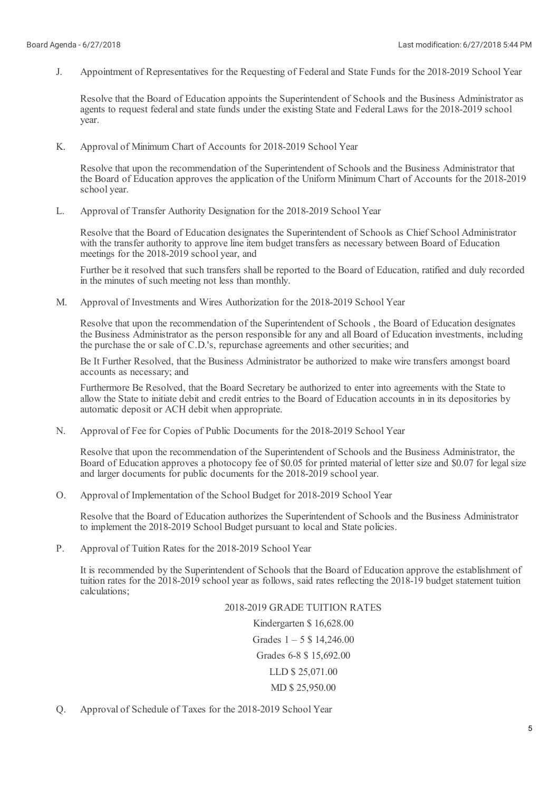J. Appointment of Representatives for the Requesting of Federaland State Funds for the 2018-2019 School Year

Resolve that the Board of Education appoints the Superintendent of Schools and the Business Administrator as agents to request federal and state funds under the existing State and Federal Laws for the 2018-2019 school year.

K. Approval of Minimum Chart of Accounts for 2018-2019 School Year

Resolve that upon the recommendation of the Superintendent of Schools and the Business Administrator that the Board of Education approves the application of the Uniform Minimum Chart of Accounts for the 2018-2019 school year.

 $L$ Approval of Transfer Authority Designation for the 2018-2019 School Year

Resolve that the Board of Education designates the Superintendent of Schools as Chief School Administrator with the transfer authority to approve line item budget transfers as necessary between Board of Education meetings for the 2018-2019 school year, and

Further be it resolved that such transfers shall be reported to the Board of Education, ratified and duly recorded in the minutes of such meeting not less than monthly.

M. Approval of Investments and Wires Authorization for the 2018-2019 School Year

Resolve that upon the recommendation of the Superintendent of Schools , the Board of Education designates the Business Administrator as the person responsible for any and all Board of Education investments, including the purchase the or sale of C.D.'s, repurchase agreements and other securities; and

Be It Further Resolved, that the Business Administrator be authorized to make wire transfers amongst board accounts as necessary; and

Furthermore Be Resolved, that the Board Secretary be authorized to enter into agreements with the State to allow the State to initiate debit and credit entries to the Board of Education accounts in in its depositories by automatic deposit or ACH debit when appropriate.

N. Approval of Fee for Copies of Public Documents for the 2018-2019 School Year

Resolve that upon the recommendation of the Superintendent of Schools and the Business Administrator, the Board of Education approves a photocopy fee of \$0.05 for printed material of letter size and \$0.07 for legal size and larger documents for public documents for the 2018-2019 school year.

O. Approval of Implementation of the School Budget for 2018-2019 School Year

Resolve that the Board of Education authorizes the Superintendent of Schools and the Business Administrator to implement the 2018-2019 School Budget pursuant to localand State policies.

P. Approval of Tuition Rates for the 2018-2019 School Year

It is recommended by the Superintendent of Schools that the Board of Education approve the establishment of tuition rates for the 2018-2019 school year as follows, said rates reflecting the 2018-19 budget statement tuition calculations;

#### 2018-2019 GRADE TUITION RATES

Kindergarten \$ 16,628.00 Grades  $1 - 5$  \$ 14,246.00 Grades 6-8 \$ 15,692.00 LLD \$ 25,071.00 MD \$ 25,950.00

Q. Approval of Schedule of Taxes for the 2018-2019 School Year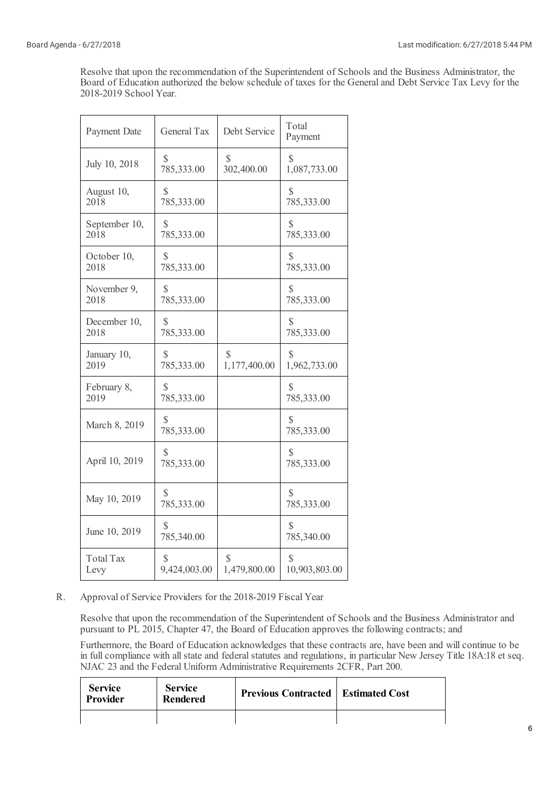Resolve that upon the recommendation of the Superintendent of Schools and the Business Administrator, the Board of Education authorized the below schedule of taxes for the Generaland Debt Service Tax Levy for the 2018-2019 School Year.

| <b>Payment Date</b> | <b>General Tax</b>         | Debt Service | Total<br>Payment           |
|---------------------|----------------------------|--------------|----------------------------|
| July 10, 2018       | S                          | S            | S                          |
|                     | 785,333.00                 | 302,400.00   | 1,087,733.00               |
| August 10,          | S                          |              | S                          |
| 2018                | 785,333.00                 |              | 785,333.00                 |
| September 10,       | S                          |              | S                          |
| 2018                | 785,333.00                 |              | 785,333.00                 |
| October 10,         | $\mathbb{S}$               |              | $\mathcal{S}$              |
| 2018                | 785,333.00                 |              | 785,333.00                 |
| November 9,         | S                          |              | S                          |
| 2018                | 785,333.00                 |              | 785,333.00                 |
| December 10,        | S                          |              | S                          |
| 2018                | 785,333.00                 |              | 785,333.00                 |
| January 10,         | S                          | \$           | S                          |
| 2019                | 785,333.00                 | 1,177,400.00 | 1,962,733.00               |
| February 8,         | $\mathbb{S}$               |              | $\mathcal{S}$              |
| 2019                | 785,333.00                 |              | 785,333.00                 |
| March 8, 2019       | S<br>785,333.00            |              | S<br>785,333.00            |
| April 10, 2019      | S<br>785,333.00            |              | S<br>785,333.00            |
| May 10, 2019        | $\mathbb{S}$<br>785,333.00 |              | $\mathbb{S}$<br>785,333.00 |
| June 10, 2019       | S<br>785,340.00            |              | S<br>785,340.00            |
| <b>Total Tax</b>    | S                          | S            | S                          |
| Levy                | 9,424,003.00               | 1,479,800.00 | 10,903,803.00              |

R. Approval of Service Providers for the 2018-2019 Fiscal Year

Resolve that upon the recommendation of the Superintendent of Schools and the Business Administrator and pursuant to PL 2015, Chapter 47, the Board of Education approves the following contracts; and

Furthermore, the Board of Education acknowledges that these contracts are, have been and will continue to be in full compliance with all state and federal statutes and regulations, in particular New Jersey Title 18A:18 et seq. NJAC 23 and the Federal Uniform Administrative Requirements 2CFR, Part 200.

| <b>Service</b><br>Provider | <b>Service</b><br><b>Rendered</b> | <b>Previous Contracted   Estimated Cost</b> |  |
|----------------------------|-----------------------------------|---------------------------------------------|--|
|                            |                                   |                                             |  |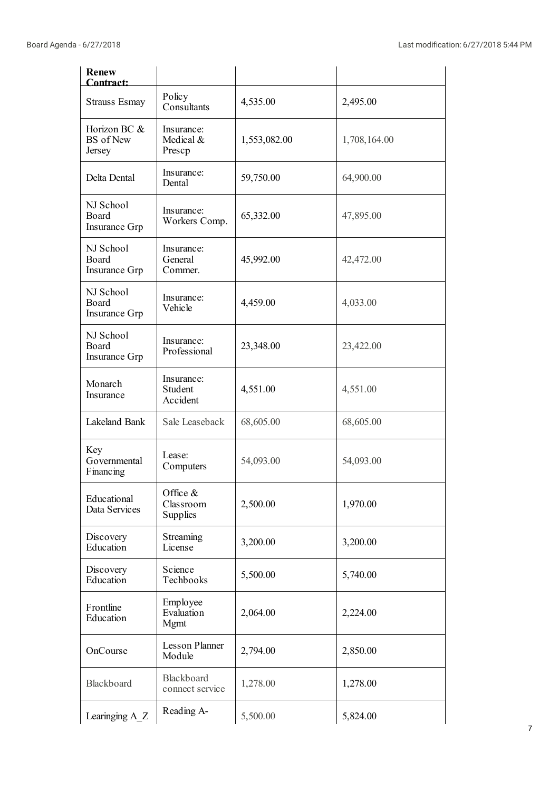| <b>Renew</b><br>Contract:                  |                                   |              |              |
|--------------------------------------------|-----------------------------------|--------------|--------------|
| <b>Strauss Esmay</b>                       | Policy<br>Consultants             | 4,535.00     | 2,495.00     |
| Horizon BC &<br><b>BS</b> of New<br>Jersey | Insurance:<br>Medical &<br>Prescp | 1,553,082.00 | 1,708,164.00 |
| Delta Dental                               | Insurance:<br>Dental              | 59,750.00    | 64,900.00    |
| NJ School<br>Board<br>Insurance Grp        | Insurance:<br>Workers Comp.       | 65,332.00    | 47,895.00    |
| NJ School<br>Board<br>Insurance Grp        | Insurance:<br>General<br>Commer.  | 45,992.00    | 42,472.00    |
| NJ School<br>Board<br>Insurance Grp        | Insurance:<br>Vehicle             | 4,459.00     | 4,033.00     |
| NJ School<br>Board<br>Insurance Grp        | Insurance:<br>Professional        | 23,348.00    | 23,422.00    |
| Monarch<br>Insurance                       | Insurance:<br>Student<br>Accident | 4,551.00     | 4,551.00     |
| Lakeland Bank                              | Sale Leaseback                    | 68,605.00    | 68,605.00    |
| Key<br>Governmental<br>Financing           | Lease:<br>Computers               | 54,093.00    | 54,093.00    |
| Educational<br>Data Services               | Office &<br>Classroom<br>Supplies | 2,500.00     | 1,970.00     |
| Discovery<br>Education                     | Streaming<br>License              | 3,200.00     | 3,200.00     |
| Discovery<br>Education                     | Science<br>Techbooks              | 5,500.00     | 5,740.00     |
| Frontline<br>Education                     | Employee<br>Evaluation<br>Mgmt    | 2,064.00     | 2,224.00     |
| OnCourse                                   | <b>Lesson Planner</b><br>Module   | 2,794.00     | 2,850.00     |
| Blackboard                                 | Blackboard<br>connect service     | 1,278.00     | 1,278.00     |
| Learinging A Z                             | Reading A-                        | 5,500.00     | 5,824.00     |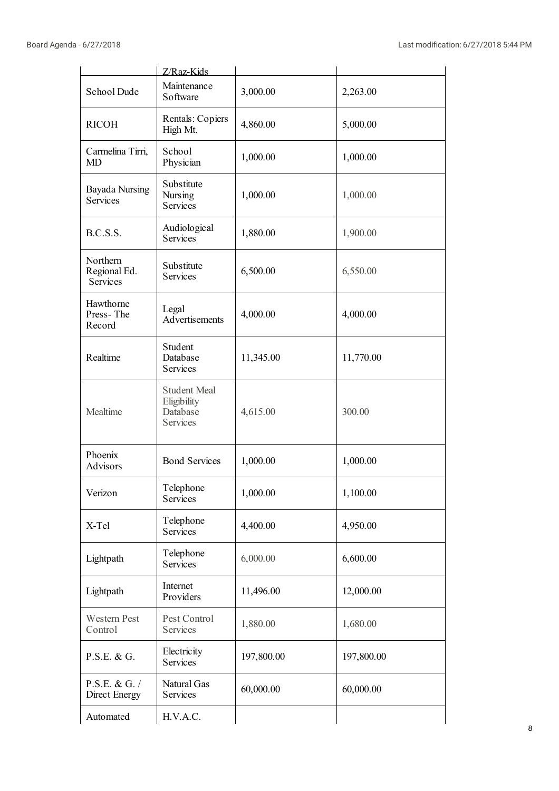|                                      | Z/Raz-Kids                                                 |            |            |
|--------------------------------------|------------------------------------------------------------|------------|------------|
| School Dude                          | Maintenance<br>Software                                    | 3,000.00   | 2,263.00   |
| <b>RICOH</b>                         | Rentals: Copiers<br>High Mt.                               | 4,860.00   | 5,000.00   |
| Carmelina Tirri,<br><b>MD</b>        | School<br>Physician                                        | 1,000.00   | 1,000.00   |
| Bayada Nursing<br><b>Services</b>    | Substitute<br>Nursing<br>Services                          | 1,000.00   | 1,000.00   |
| B.C.S.S.                             | Audiological<br>Services                                   | 1,880.00   | 1,900.00   |
| Northern<br>Regional Ed.<br>Services | Substitute<br>Services                                     | 6,500.00   | 6,550.00   |
| Hawthorne<br>Press-The<br>Record     | Legal<br>Advertisements                                    | 4,000.00   | 4,000.00   |
| Realtime                             | Student<br>Database<br>Services                            | 11,345.00  | 11,770.00  |
| Mealtime                             | <b>Student Meal</b><br>Eligibility<br>Database<br>Services | 4,615.00   | 300.00     |
| Phoenix<br>Advisors                  | <b>Bond Services</b>                                       | 1,000.00   | 1,000.00   |
| Verizon                              | Telephone<br>Services                                      | 1,000.00   | 1,100.00   |
| X-Tel                                | Telephone<br>Services                                      | 4,400.00   | 4,950.00   |
| Lightpath                            | Telephone<br>Services                                      | 6,000.00   | 6,600.00   |
| Lightpath                            | Internet<br>Providers                                      | 11,496.00  | 12,000.00  |
| Western Pest<br>Control              | Pest Control<br>Services                                   | 1,880.00   | 1,680.00   |
| P.S.E. & G.                          | Electricity<br>Services                                    | 197,800.00 | 197,800.00 |
| P.S.E. & G. /<br>Direct Energy       | Natural Gas<br>Services                                    | 60,000.00  | 60,000.00  |
| Automated                            | H.V.A.C.                                                   |            |            |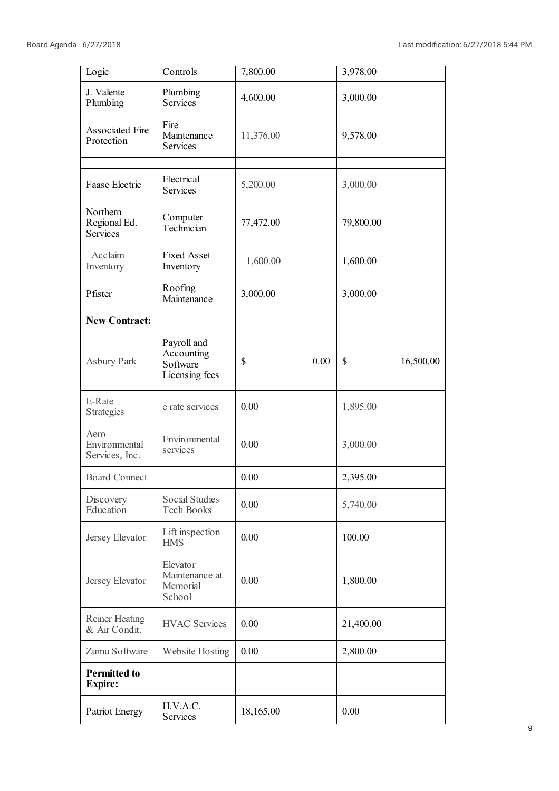| Logic                                       | Controls                                                | 7,800.00   | 3,978.00        |
|---------------------------------------------|---------------------------------------------------------|------------|-----------------|
| J. Valente<br>Plumbing                      | Plumbing<br><b>Services</b>                             | 4,600.00   | 3,000.00        |
| Associated Fire<br>Protection               | Fire<br>Maintenance<br><b>Services</b>                  | 11,376.00  | 9,578.00        |
| Faase Electric                              | Electrical<br><b>Services</b>                           | 5,200.00   | 3,000.00        |
| Northern<br>Regional Ed.<br><b>Services</b> | Computer<br>Technician                                  | 77,472.00  | 79,800.00       |
| Acclaim<br>Inventory                        | <b>Fixed Asset</b><br>Inventory                         | 1,600.00   | 1,600.00        |
| Pfister                                     | Roofing<br>Maintenance                                  | 3,000.00   | 3,000.00        |
| <b>New Contract:</b>                        |                                                         |            |                 |
| Asbury Park                                 | Payroll and<br>Accounting<br>Software<br>Licensing fees | \$<br>0.00 | \$<br>16,500.00 |
| E-Rate<br>Strategies                        | e rate services                                         | 0.00       | 1,895.00        |
| Aero<br>Environmental<br>Services, Inc.     | Environmental<br>services                               | 0.00       | 3,000.00        |
| <b>Board Connect</b>                        |                                                         | 0.00       | 2,395.00        |
| Discovery<br>Education                      | <b>Social Studies</b><br><b>Tech Books</b>              | 0.00       | 5,740.00        |
| Jersey Elevator                             | Lift inspection<br><b>HMS</b>                           | 0.00       | 100.00          |
| Jersey Elevator                             | Elevator<br>Maintenance at<br>Memorial<br>School        | 0.00       | 1,800.00        |
| <b>Reiner Heating</b><br>& Air Condit.      | <b>HVAC Services</b>                                    | 0.00       | 21,400.00       |
| Zumu Software                               | Website Hosting                                         | 0.00       | 2,800.00        |
| <b>Permitted to</b><br><b>Expire:</b>       |                                                         |            |                 |
| Patriot Energy                              | H.V.A.C.<br>Services                                    | 18,165.00  | 0.00            |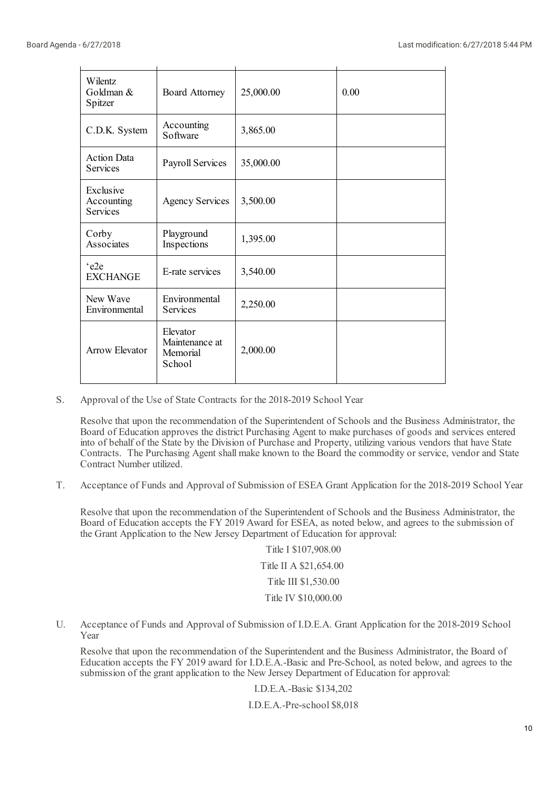| Wilentz<br>Goldman &<br>Spitzer            | <b>Board Attorney</b>                            | 25,000.00 | 0.00 |
|--------------------------------------------|--------------------------------------------------|-----------|------|
| C.D.K. System                              | Accounting<br>Software                           | 3,865.00  |      |
| <b>Action Data</b><br>Services             | <b>Payroll Services</b>                          | 35,000.00 |      |
| Exclusive<br>Accounting<br><b>Services</b> | <b>Agency Services</b>                           | 3,500.00  |      |
| Corby<br>Associates                        | Playground<br>Inspections                        | 1,395.00  |      |
| 'e2e<br><b>EXCHANGE</b>                    | E-rate services                                  | 3,540.00  |      |
| New Wave<br>Environmental                  | Environmental<br><b>Services</b>                 | 2,250.00  |      |
| <b>Arrow Elevator</b>                      | Elevator<br>Maintenance at<br>Memorial<br>School | 2,000.00  |      |

S. Approval of the Use of State Contracts for the 2018-2019 School Year

Resolve that upon the recommendation of the Superintendent of Schools and the Business Administrator, the Board of Education approves the district Purchasing Agent to make purchases of goods and services entered into of behalf of the State by the Division of Purchase and Property, utilizing various vendors that have State Contracts. The Purchasing Agent shall make known to the Board the commodity or service, vendor and State Contract Number utilized.

T. Acceptance of Funds and Approval of Submission of ESEA Grant Application for the 2018-2019 School Year

Resolve that upon the recommendation of the Superintendent of Schools and the Business Administrator, the Board of Education accepts the FY 2019 Award for ESEA, as noted below, and agrees to the submission of the Grant Application to the New Jersey Department of Education for approval:

> Title I \$107,908.00 Title II A \$21,654.00 Title III \$1,530.00 Title IV \$10,000.00

U. Acceptance of Funds and Approval of Submission of I.D.E.A. Grant Application for the 2018-2019 School Year

Resolve that upon the recommendation of the Superintendent and the Business Administrator, the Board of Education accepts the FY 2019 award for I.D.E.A.-Basic and Pre-School, as noted below, and agrees to the submission of the grant application to the New Jersey Department of Education for approval:

I.D.E.A.-Basic \$134,202

I.D.E.A.-Pre-school \$8,018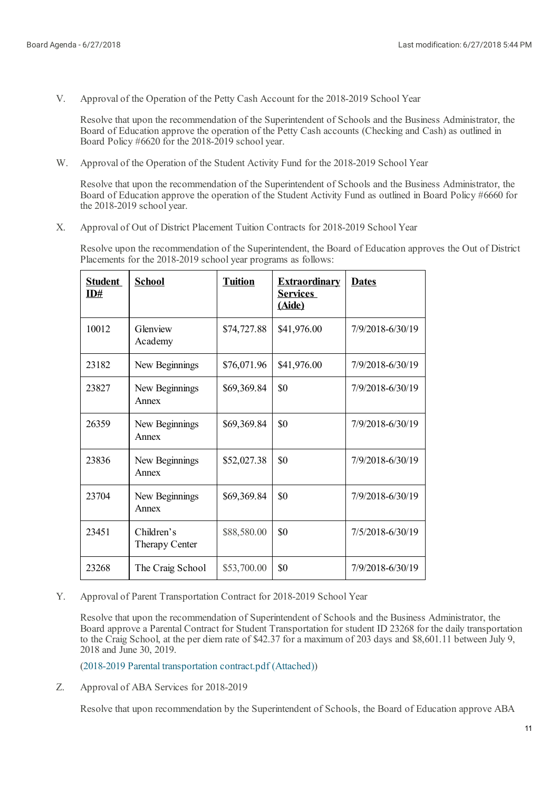V. Approval of the Operation of the Petty Cash Account for the 2018-2019 School Year

Resolve that upon the recommendation of the Superintendent of Schools and the Business Administrator, the Board of Education approve the operation of the Petty Cash accounts (Checking and Cash) as outlined in Board Policy #6620 for the 2018-2019 school year.

W. Approval of the Operation of the Student Activity Fund for the 2018-2019 School Year

Resolve that upon the recommendation of the Superintendent of Schools and the Business Administrator, the Board of Education approve the operation of the Student Activity Fund as outlined in Board Policy #6660 for the 2018-2019 school year.

X. Approval of Out of District Placement Tuition Contracts for 2018-2019 School Year

Resolve upon the recommendation of the Superintendent, the Board of Education approves the Out of District Placements for the 2018-2019 school year programs as follows:

| <b>Student</b><br>ID# | <b>School</b>                | <b>Tuition</b> | <b>Extraordinary</b><br><b>Services</b><br>(Aide) | <b>Dates</b>     |
|-----------------------|------------------------------|----------------|---------------------------------------------------|------------------|
| 10012                 | Glenview<br>Academy          | \$74,727.88    | \$41,976.00                                       | 7/9/2018-6/30/19 |
| 23182                 | New Beginnings               | \$76,071.96    | \$41,976.00                                       | 7/9/2018-6/30/19 |
| 23827                 | New Beginnings<br>Annex      | \$69,369.84    | \$0                                               | 7/9/2018-6/30/19 |
| 26359                 | New Beginnings<br>Annex      | \$69,369.84    | \$0                                               | 7/9/2018-6/30/19 |
| 23836                 | New Beginnings<br>Annex      | \$52,027.38    | \$0                                               | 7/9/2018-6/30/19 |
| 23704                 | New Beginnings<br>Annex      | \$69,369.84    | \$0                                               | 7/9/2018-6/30/19 |
| 23451                 | Children's<br>Therapy Center | \$88,580.00    | \$0                                               | 7/5/2018-6/30/19 |
| 23268                 | The Craig School             | \$53,700.00    | \$0                                               | 7/9/2018-6/30/19 |

Y. Approval of Parent Transportation Contract for 2018-2019 School Year

Resolve that upon the recommendation of Superintendent of Schools and the Business Administrator, the Board approve a Parental Contract for Student Transportation for student ID 23268 for the daily transportation to the Craig School, at the per diem rate of \$42.37 for a maximum of 203 days and \$8,601.11 between July 9, 2018 and June 30, 2019.

(2018-2019 Parental [transportation](https://www.boardconnectnj.com/Item/DownloadAttachment/636) contract.pdf (Attached))

Z. Approval of ABA Services for 2018-2019

Resolve that upon recommendation by the Superintendent of Schools, the Board of Education approve ABA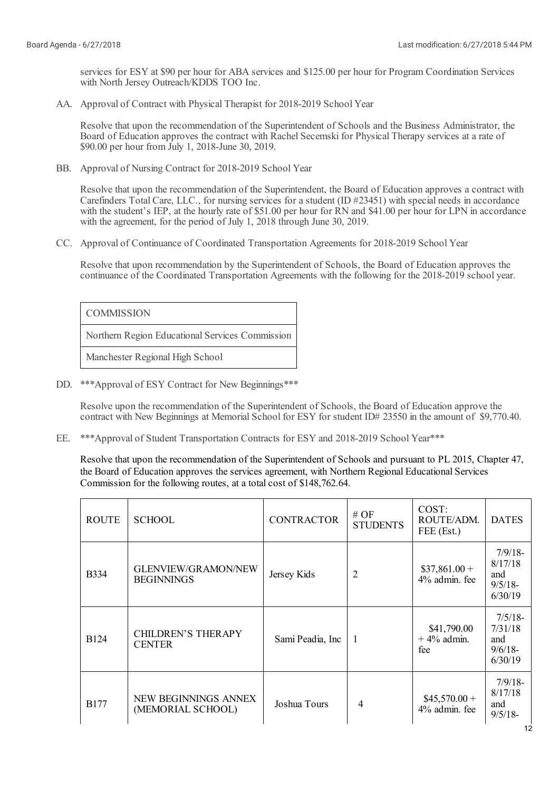services for ESY at \$90 per hour for ABA services and \$125.00 per hour for Program Coordination Services with North Jersey Outreach/KDDS TOO Inc.

AA. Approval of Contract with Physical Therapist for 2018-2019 School Year

Resolve that upon the recommendation of the Superintendent of Schools and the Business Administrator, the Board of Education approves the contract with Rachel Secemski for Physical Therapy services at a rate of \$90.00 per hour from July 1, 2018-June 30, 2019.

BB. Approval of Nursing Contract for 2018-2019 School Year

Resolve that upon the recommendation of the Superintendent, the Board of Education approves a contract with Carefinders Total Care, LLC., for nursing services for a student (ID #23451) with special needs in accordance with the student's IEP, at the hourly rate of \$51.00 per hour for RN and \$41.00 per hour for LPN in accordance with the agreement, for the period of July 1, 2018 through June 30, 2019.

CC. Approval of Continuance of Coordinated Transportation Agreements for 2018-2019 School Year

Resolve that upon recommendation by the Superintendent of Schools, the Board of Education approves the continuance of the Coordinated Transportation Agreements with the following for the 2018-2019 school year.

COMMISSION

Northern Region Educational Services Commission

Manchester Regional High School

DD. \*\*\*Approval of ESY Contract for New Beginnings\*\*\*

Resolve upon the recommendation of the Superintendent of Schools, the Board of Education approve the contract with New Beginnings at Memorial School for ESY for student ID# 23550 in the amount of \$9,770.40.

EE. \*\*\*Approval of Student Transportation Contracts for ESY and 2018-2019 School Year\*\*\*

Resolve that upon the recommendation of the Superintendent of Schools and pursuant to PL 2015, Chapter 47, the Board of Education approves the services agreement, with Northern Regional Educational Services Commission for the following routes, at a total cost of \$148,762.64.

| <b>ROUTE</b> | <b>SCHOOL</b>                                   | <b>CONTRACTOR</b> | # OF<br><b>STUDENTS</b> | COST:<br>ROUTE/ADM.<br>FEE (Est.)   | <b>DATES</b>                                          |
|--------------|-------------------------------------------------|-------------------|-------------------------|-------------------------------------|-------------------------------------------------------|
| <b>B</b> 334 | <b>GLENVIEW/GRAMON/NEW</b><br><b>BEGINNINGS</b> | Jersey Kids       | $\overline{2}$          | $$37,861.00+$<br>4% admin. fee      | $7/9/18-$<br>8/17/18<br>and<br>$9/5/18$ -<br>6/30/19  |
| <b>B124</b>  | CHILDREN'S THERAPY<br><b>CENTER</b>             | Sami Peadia, Inc. | $\mathbf{1}$            | \$41,790.00<br>$+4\%$ admin.<br>fee | $7/5/18$ -<br>7/31/18<br>and<br>$9/6/18$ -<br>6/30/19 |
| <b>B177</b>  | NEW BEGINNINGS ANNEX<br>(MEMORIAL SCHOOL)       | Joshua Tours      | 4                       | $$45,570.00+$<br>4% admin. fee      | $7/9/18$ -<br>8/17/18<br>and<br>$9/5/18$ -            |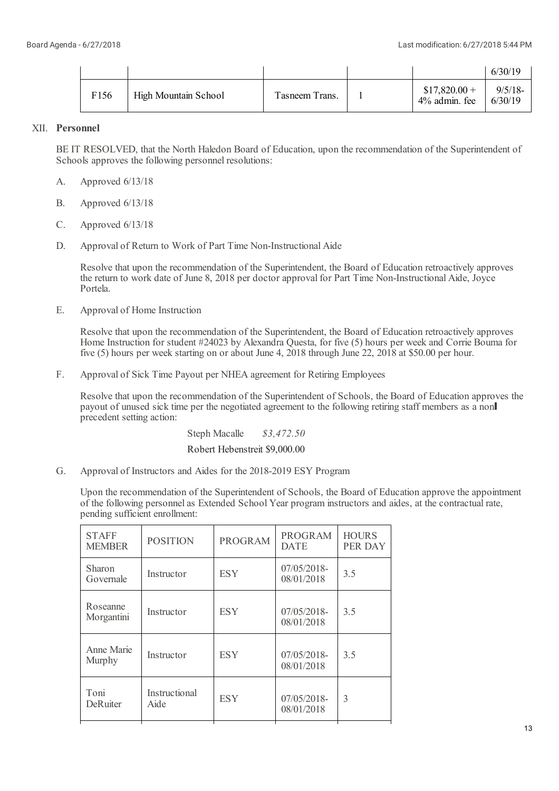|                  |                             |                |                                   | 6/30/19               |
|------------------|-----------------------------|----------------|-----------------------------------|-----------------------|
| F <sub>156</sub> | <b>High Mountain School</b> | Tasneem Trans. | $$17,820.00+$<br>$4\%$ admin, fee | $9/5/18$ -<br>6/30/19 |

# XII. **Personnel**

BE IT RESOLVED, that the North Haledon Board of Education, upon the recommendation of the Superintendent of Schools approves the following personnel resolutions:

- A. Approved 6/13/18
- B. Approved 6/13/18
- C. Approved 6/13/18
- D. Approval of Return to Work of Part Time Non-Instructional Aide

Resolve that upon the recommendation of the Superintendent, the Board of Education retroactively approves the return to work date of June 8, 2018 per doctor approval for Part Time Non-Instructional Aide, Joyce Portela.

E. Approval of Home Instruction

> Resolve that upon the recommendation of the Superintendent, the Board of Education retroactively approves Home Instruction for student #24023 by Alexandra Questa, for five (5) hours per week and Corrie Bouma for five (5) hours per week starting on or about June 4, 2018 through June 22, 2018 at \$50.00 per hour.

F. Approval of Sick Time Payout per NHEA agreement for Retiring Employees

Resolve that upon the recommendation of the Superintendent of Schools, the Board of Education approves the payout of unused sick time per the negotiated agreement to the following retiring staff members as a non precedent setting action:

Steph Macalle *\$3,472.50*

Robert Hebenstreit \$9,000.00

G. Approval of Instructors and Aides for the 2018-2019 ESY Program

Upon the recommendation of the Superintendent of Schools, the Board of Education approve the appointment of the following personnelas Extended School Year program instructors and aides, at the contractual rate, pending sufficient enrollment:

| <b>STAFF</b><br><b>MEMBER</b> | <b>POSITION</b>       | <b>PROGRAM</b> | <b>PROGRAM</b><br><b>DATE</b> | <b>HOURS</b><br>PER DAY |
|-------------------------------|-----------------------|----------------|-------------------------------|-------------------------|
| Sharon<br>Governale           | Instructor            | <b>ESY</b>     | $07/05/2018$ -<br>08/01/2018  | 3.5                     |
| Roseanne<br>Morgantini        | Instructor            | <b>ESY</b>     | $07/05/2018$ -<br>08/01/2018  | 3.5                     |
| Anne Marie<br>Murphy          | Instructor            | <b>ESY</b>     | 07/05/2018-<br>08/01/2018     | 3.5                     |
| Toni<br><b>DeRuiter</b>       | Instructional<br>Aide | <b>ESY</b>     | 07/05/2018-<br>08/01/2018     | 3                       |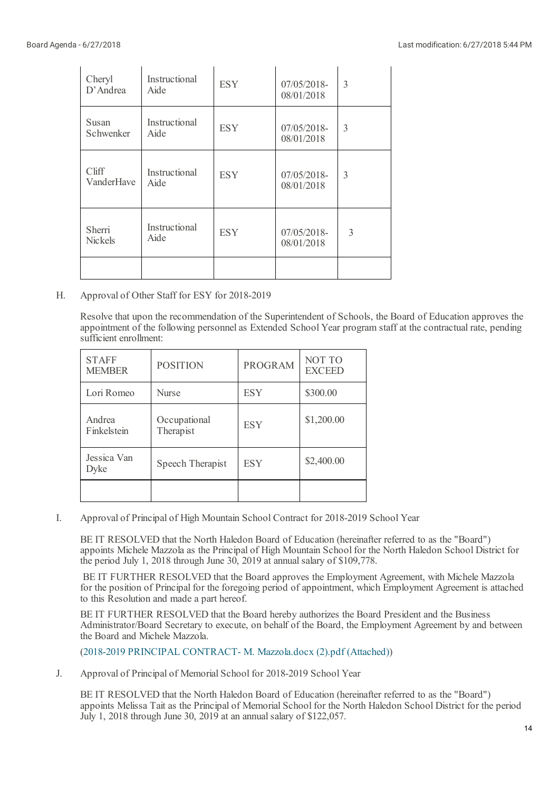| Cheryl<br>$D'$ Andrea    | Instructional<br>Aide | <b>ESY</b> | 07/05/2018-<br>08/01/2018    | 3 |
|--------------------------|-----------------------|------------|------------------------------|---|
| Susan<br>Schwenker       | Instructional<br>Aide | <b>ESY</b> | $07/05/2018$ -<br>08/01/2018 | 3 |
| Cliff<br>VanderHave      | Instructional<br>Aide | <b>ESY</b> | 07/05/2018-<br>08/01/2018    | 3 |
| Sherri<br><b>Nickels</b> | Instructional<br>Aide | <b>ESY</b> | $07/05/2018$ -<br>08/01/2018 | 3 |
|                          |                       |            |                              |   |

H. Approval of Other Staff for ESY for 2018-2019

> Resolve that upon the recommendation of the Superintendent of Schools, the Board of Education approves the appointment of the following personnelas Extended School Year program staff at the contractual rate, pending sufficient enrollment:

| <b>STAFF</b><br><b>MEMBER</b> | <b>POSITION</b>           | <b>PROGRAM</b> | NOT TO<br><b>EXCEED</b> |
|-------------------------------|---------------------------|----------------|-------------------------|
| Lori Romeo                    | <b>Nurse</b>              | <b>ESY</b>     | \$300.00                |
| Andrea<br>Finkelstein         | Occupational<br>Therapist | <b>ESY</b>     | \$1,200.00              |
| Jessica Van<br>Dyke           | Speech Therapist          | <b>ESY</b>     | \$2,400.00              |
|                               |                           |                |                         |

I. Approval of Principal of High Mountain School Contract for 2018-2019 School Year

BE IT RESOLVED that the North Haledon Board of Education (hereinafter referred to as the "Board") appoints Michele Mazzola as the Principal of High Mountain School for the North Haledon School District for the period July 1, 2018 through June 30, 2019 at annual salary of \$109,778.

BE IT FURTHER RESOLVED that the Board approves the Employment Agreement, with Michele Mazzola for the position of Principal for the foregoing period of appointment, which Employment Agreement is attached to this Resolution and made a part hereof.

BE IT FURTHER RESOLVED that the Board hereby authorizes the Board President and the Business Administrator/Board Secretary to execute, on behalf of the Board, the Employment Agreement by and between the Board and Michele Mazzola.

(2018-2019 PRINCIPAL [CONTRACT-](https://www.boardconnectnj.com/Item/DownloadAttachment/666) M. Mazzola.docx (2).pdf (Attached))

J. Approval of Principal of Memorial School for 2018-2019 School Year

BE IT RESOLVED that the North Haledon Board of Education (hereinafter referred to as the "Board") appoints Melissa Tait as the Principal of Memorial School for the North Haledon School District for the period July 1, 2018 through June 30, 2019 at an annual salary of \$122,057.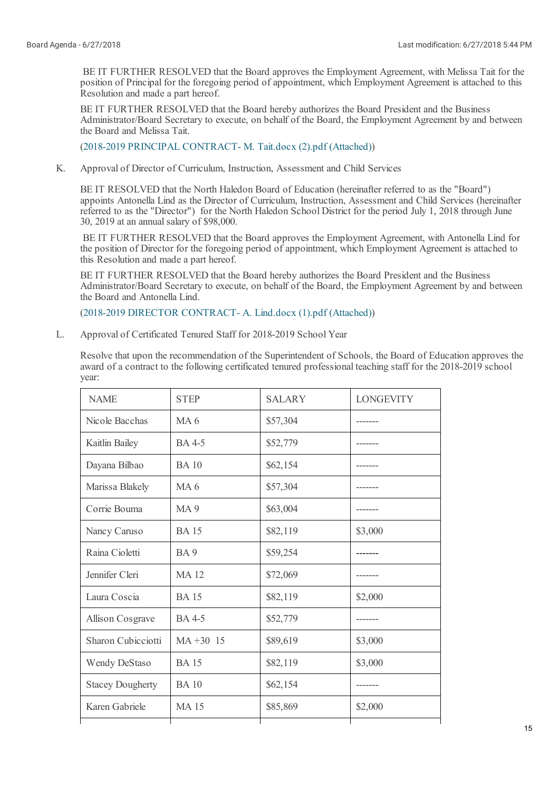BE IT FURTHER RESOLVED that the Board approves the Employment Agreement, with Melissa Tait for the position of Principal for the foregoing period of appointment, which Employment Agreement is attached to this Resolution and made a part hereof.

BE IT FURTHER RESOLVED that the Board hereby authorizes the Board President and the Business Administrator/Board Secretary to execute, on behalf of the Board, the Employment Agreement by and between the Board and Melissa Tait.

(2018-2019 PRINCIPAL [CONTRACT-](https://www.boardconnectnj.com/Item/DownloadAttachment/669) M. Tait.docx (2).pdf (Attached))

K. Approval of Director of Curriculum, Instruction, Assessment and Child Services

BE IT RESOLVED that the North Haledon Board of Education (hereinafter referred to as the "Board") appoints Antonella Lind as the Director of Curriculum, Instruction, Assessment and Child Services (hereinafter referred to as the "Director") for the North Haledon School District for the period July 1, 2018 through June 30, 2019 at an annual salary of \$98,000.

BE IT FURTHER RESOLVED that the Board approves the Employment Agreement, with Antonella Lind for the position of Director for the foregoing period of appointment, which Employment Agreement is attached to this Resolution and made a part hereof.

BE IT FURTHER RESOLVED that the Board hereby authorizes the Board President and the Business Administrator/Board Secretary to execute, on behalf of the Board, the Employment Agreement by and between the Board and Antonella Lind.

(2018-2019 DIRECTOR [CONTRACT-](https://www.boardconnectnj.com/Item/DownloadAttachment/671) A. Lind.docx (1).pdf (Attached))

L. Approval of Certificated Tenured Staff for 2018-2019 School Year

Resolve that upon the recommendation of the Superintendent of Schools, the Board of Education approves the award of a contract to the following certificated tenured professional teaching staff for the 2018-2019 school year:

| <b>NAME</b>             | <b>STEP</b>     | <b>SALARY</b> | <b>LONGEVITY</b> |
|-------------------------|-----------------|---------------|------------------|
| Nicole Bacchas          | MA <sub>6</sub> | \$57,304      |                  |
| Kaitlin Bailey          | <b>BA</b> 4-5   | \$52,779      |                  |
| Dayana Bilbao           | <b>BA</b> 10    | \$62,154      |                  |
| Marissa Blakely         | MA <sub>6</sub> | \$57,304      |                  |
| Corrie Bouma            | <b>MA9</b>      | \$63,004      |                  |
| Nancy Caruso            | <b>BA</b> 15    | \$82,119      | \$3,000          |
| Raina Cioletti          | <b>BA</b> 9     | \$59,254      |                  |
| Jennifer Cleri          | <b>MA12</b>     | \$72,069      |                  |
| Laura Coscia            | <b>BA</b> 15    | \$82,119      | \$2,000          |
| <b>Allison Cosgrave</b> | <b>BA</b> 4-5   | \$52,779      |                  |
| Sharon Cubicciotti      | $MA + 30$ 15    | \$89,619      | \$3,000          |
| <b>Wendy DeStaso</b>    | <b>BA</b> 15    | \$82,119      | \$3,000          |
| <b>Stacey Dougherty</b> | <b>BA10</b>     | \$62,154      |                  |
| Karen Gabriele          | <b>MA15</b>     | \$85,869      | \$2,000          |
|                         |                 |               |                  |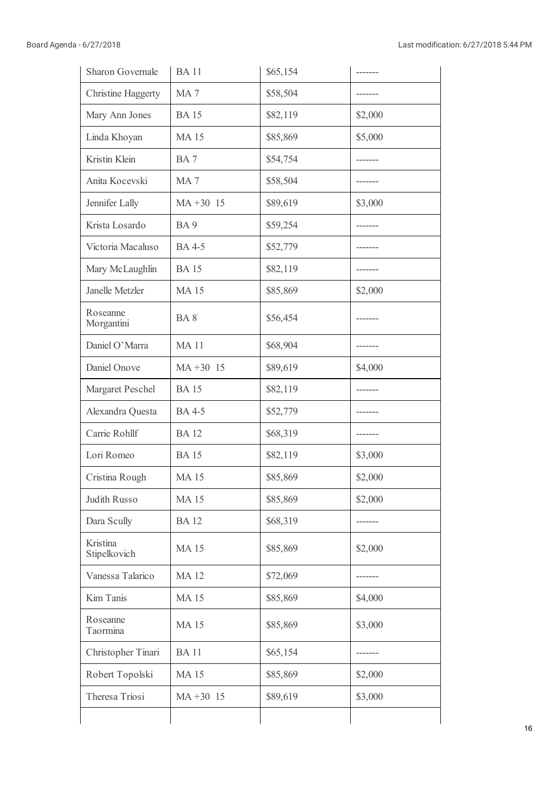| <b>Sharon Governale</b>  | <b>BA11</b>     | \$65,154 | ------- |
|--------------------------|-----------------|----------|---------|
| Christine Haggerty       | MA <sub>7</sub> | \$58,504 |         |
| Mary Ann Jones           | <b>BA15</b>     | \$82,119 | \$2,000 |
| Linda Khoyan             | <b>MA15</b>     | \$85,869 | \$5,000 |
| Kristin Klein            | BA7             | \$54,754 |         |
| Anita Kocevski           | MA <sub>7</sub> | \$58,504 |         |
| Jennifer Lally           | $MA + 30$ 15    | \$89,619 | \$3,000 |
| Krista Losardo           | BA <sub>9</sub> | \$59,254 |         |
| Victoria Macaluso        | <b>BA</b> 4-5   | \$52,779 |         |
| Mary McLaughlin          | <b>BA15</b>     | \$82,119 |         |
| Janelle Metzler          | <b>MA15</b>     | \$85,869 | \$2,000 |
| Roseanne<br>Morgantini   | BA <sub>8</sub> | \$56,454 |         |
| Daniel O'Marra           | <b>MA11</b>     | \$68,904 |         |
| Daniel Onove             | $MA + 30$ 15    | \$89,619 | \$4,000 |
| Margaret Peschel         | <b>BA15</b>     | \$82,119 |         |
| Alexandra Questa         | <b>BA</b> 4-5   | \$52,779 |         |
| Carrie Rohllf            | <b>BA12</b>     | \$68,319 |         |
| Lori Romeo               | <b>BA15</b>     | \$82,119 | \$3,000 |
| Cristina Rough           | <b>MA15</b>     | \$85,869 | \$2,000 |
| Judith Russo             | <b>MA15</b>     | \$85,869 | \$2,000 |
| Dara Scully              | <b>BA12</b>     | \$68,319 |         |
| Kristina<br>Stipelkovich | <b>MA15</b>     | \$85,869 | \$2,000 |
| Vanessa Talarico         | <b>MA12</b>     | \$72,069 |         |
| Kim Tanis                | <b>MA15</b>     | \$85,869 | \$4,000 |
| Roseanne<br>Taormina     | <b>MA15</b>     | \$85,869 | \$3,000 |
| Christopher Tinari       | <b>BA11</b>     | \$65,154 |         |
| Robert Topolski          | <b>MA15</b>     | \$85,869 | \$2,000 |
| Theresa Triosi           | $MA + 30$ 15    | \$89,619 | \$3,000 |
|                          |                 |          |         |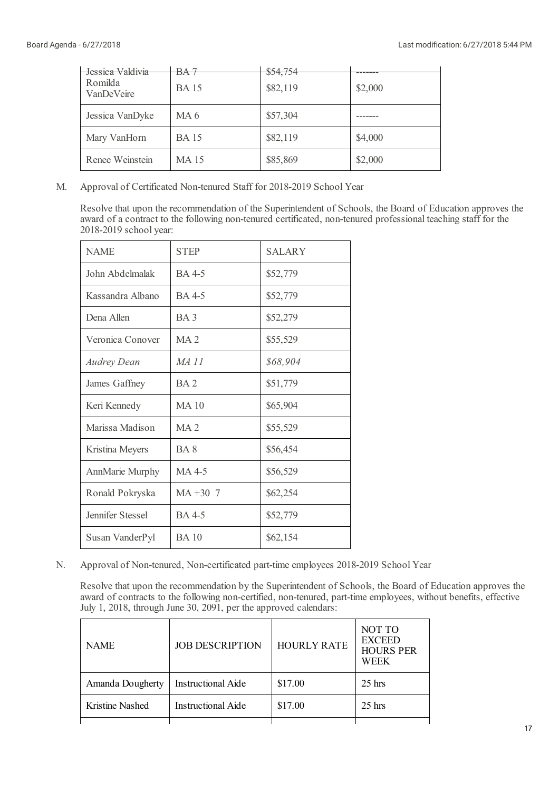| Jessica Valdivia<br>Romilda<br>VanDeVeire | BA <sub>7</sub><br><b>BA</b> 15 | \$54,754<br>\$82,119 | \$2,000 |
|-------------------------------------------|---------------------------------|----------------------|---------|
| Jessica VanDyke                           | MA <sub>6</sub>                 | \$57,304             |         |
| Mary VanHorn                              | <b>BA</b> 15                    | \$82,119             | \$4,000 |
| Renee Weinstein                           | <b>MA15</b>                     | \$85,869             | \$2,000 |

M. Approval of Certificated Non-tenured Staff for 2018-2019 School Year

Resolve that upon the recommendation of the Superintendent of Schools, the Board of Education approves the award of a contract to the following non-tenured certificated, non-tenured professional teaching staff for the 2018-2019 school year:

| <b>NAME</b>        | <b>STEP</b>     | <b>SALARY</b> |
|--------------------|-----------------|---------------|
| John Abdelmalak    | <b>BA</b> 4-5   | \$52,779      |
| Kassandra Albano   | BA 4-5          | \$52,779      |
| Dena Allen         | BA <sub>3</sub> | \$52,279      |
| Veronica Conover   | MA <sub>2</sub> | \$55,529      |
| <b>Audrey Dean</b> | MA 11           | \$68,904      |
| James Gaffney      | BA <sub>2</sub> | \$51,779      |
| Keri Kennedy       | $MA$ 10         | \$65,904      |
| Marissa Madison    | MA <sub>2</sub> | \$55,529      |
| Kristina Meyers    | BA 8            | \$56,454      |
| AnnMarie Murphy    | MA 4-5          | \$56,529      |
| Ronald Pokryska    | $MA + 30$ 7     | \$62,254      |
| Jennifer Stessel   | <b>BA</b> 4-5   | \$52,779      |
| Susan VanderPyl    | <b>BA</b> 10    | \$62,154      |

N. Approval of Non-tenured, Non-certificated part-time employees 2018-2019 School Year

Resolve that upon the recommendation by the Superintendent of Schools, the Board of Education approves the award of contracts to the following non-certified, non-tenured, part-time employees, without benefits, effective July 1, 2018, through June 30, 2091, per the approved calendars:

| <b>NAME</b>      | <b>JOB DESCRIPTION</b>    | <b>HOURLY RATE</b> | NOT TO<br><b>EXCEED</b><br><b>HOURS PER</b><br><b>WEEK</b> |
|------------------|---------------------------|--------------------|------------------------------------------------------------|
| Amanda Dougherty | <b>Instructional Aide</b> | \$17.00            | $25 \text{ hrs}$                                           |
| Kristine Nashed  | Instructional Aide        | \$17.00            | $25$ hrs                                                   |
|                  |                           |                    |                                                            |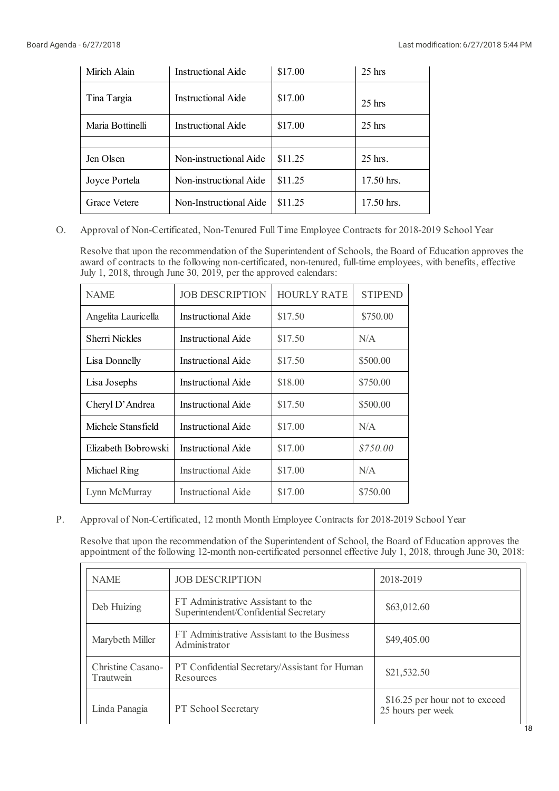| Mirieh Alain     | <b>Instructional Aide</b> | \$17.00 | $25$ hrs   |
|------------------|---------------------------|---------|------------|
| Tina Targia      | Instructional Aide        | \$17.00 | $25$ hrs   |
| Maria Bottinelli | Instructional Aide        | \$17.00 | $25$ hrs   |
|                  |                           |         |            |
| Jen Olsen        | Non-instructional Aide    | \$11.25 | $25$ hrs.  |
| Joyce Portela    | Non-instructional Aide    | \$11.25 | 17.50 hrs. |
| Grace Vetere     | Non-Instructional Aide    | \$11.25 | 17.50 hrs. |

O. Approval of Non-Certificated, Non-Tenured Full Time Employee Contracts for 2018-2019 School Year

Resolve that upon the recommendation of the Superintendent of Schools, the Board of Education approves the award of contracts to the following non-certificated, non-tenured, full-time employees, with benefits, effective July 1, 2018, through June 30, 2019, per the approved calendars:

| <b>NAME</b>         | <b>JOB DESCRIPTION</b>    | <b>HOURLY RATE</b> | <b>STIPEND</b> |
|---------------------|---------------------------|--------------------|----------------|
| Angelita Lauricella | <b>Instructional Aide</b> | \$17.50            | \$750.00       |
| Sherri Nickles      | Instructional Aide        | \$17.50            | N/A            |
| Lisa Donnelly       | Instructional Aide        | \$17.50            | \$500.00       |
| Lisa Josephs        | Instructional Aide        | \$18.00            | \$750.00       |
| Cheryl D'Andrea     | <b>Instructional Aide</b> | \$17.50            | \$500.00       |
| Michele Stansfield  | Instructional Aide        | \$17.00            | N/A            |
| Elizabeth Bobrowski | Instructional Aide        | \$17.00            | \$750.00       |
| Michael Ring        | <b>Instructional Aide</b> | \$17.00            | N/A            |
| Lynn McMurray       | <b>Instructional Aide</b> | \$17.00            | \$750.00       |

P. Approval of Non-Certificated, 12 month Month Employee Contracts for 2018-2019 School Year

Resolve that upon the recommendation of the Superintendent of School, the Board of Education approves the appointment of the following 12-month non-certificated personnel effective July 1, 2018, through June 30, 2018:

| <b>NAME</b>                    | <b>JOB DESCRIPTION</b>                                                      | 2018-2019                                           |
|--------------------------------|-----------------------------------------------------------------------------|-----------------------------------------------------|
| Deb Huizing                    | FT Administrative Assistant to the<br>Superintendent/Confidential Secretary | \$63,012.60                                         |
| Marybeth Miller                | FT Administrative Assistant to the Business<br>Administrator                | \$49,405.00                                         |
| Christine Casano-<br>Trautwein | PT Confidential Secretary/Assistant for Human<br>Resources                  | \$21,532.50                                         |
| Linda Panagia                  | PT School Secretary                                                         | \$16.25 per hour not to exceed<br>25 hours per week |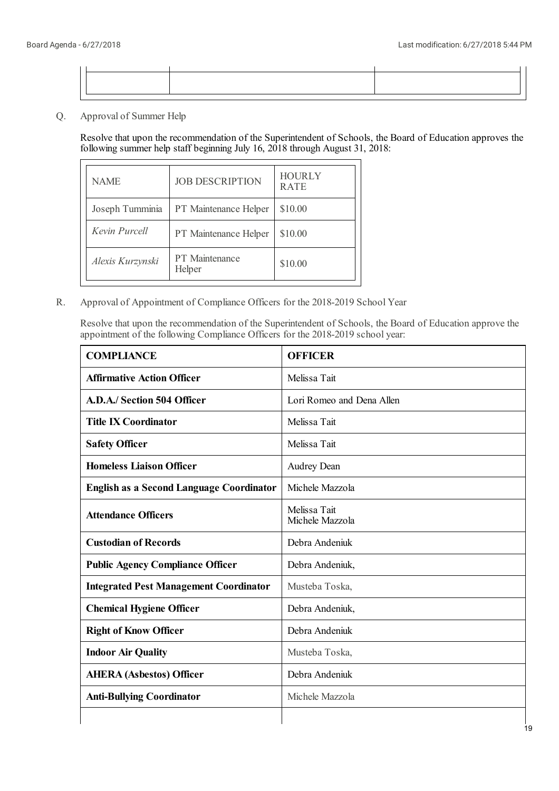Q. Approval of Summer Help

> Resolve that upon the recommendation of the Superintendent of Schools, the Board of Education approves the following summer help staff beginning July 16, 2018 through August 31, 2018:

| <b>NAME</b>      | <b>JOB DESCRIPTION</b>   | <b>HOURLY</b><br><b>RATE</b> |
|------------------|--------------------------|------------------------------|
| Joseph Tumminia  | PT Maintenance Helper    | \$10.00                      |
| Kevin Purcell    | PT Maintenance Helper    | \$10.00                      |
| Alexis Kurzynski | PT Maintenance<br>Helper | \$10.00                      |

R. Approval of Appointment of Compliance Officers for the 2018-2019 School Year

Resolve that upon the recommendation of the Superintendent of Schools, the Board of Education approve the appointment of the following Compliance Officers for the 2018-2019 school year:

| <b>COMPLIANCE</b>                               | <b>OFFICER</b>                  |
|-------------------------------------------------|---------------------------------|
| <b>Affirmative Action Officer</b>               | Melissa Tait                    |
| A.D.A./ Section 504 Officer                     | Lori Romeo and Dena Allen       |
| <b>Title IX Coordinator</b>                     | Melissa Tait                    |
| <b>Safety Officer</b>                           | Melissa Tait                    |
| <b>Homeless Liaison Officer</b>                 | <b>Audrey Dean</b>              |
| <b>English as a Second Language Coordinator</b> | Michele Mazzola                 |
| <b>Attendance Officers</b>                      | Melissa Tait<br>Michele Mazzola |
| <b>Custodian of Records</b>                     | Debra Andeniuk                  |
| <b>Public Agency Compliance Officer</b>         | Debra Andeniuk,                 |
| <b>Integrated Pest Management Coordinator</b>   | Musteba Toska,                  |
| <b>Chemical Hygiene Officer</b>                 | Debra Andeniuk,                 |
| <b>Right of Know Officer</b>                    | Debra Andeniuk                  |
| <b>Indoor Air Quality</b>                       | Musteba Toska,                  |
| <b>AHERA (Asbestos) Officer</b>                 | Debra Andeniuk                  |
| <b>Anti-Bullying Coordinator</b>                | Michele Mazzola                 |
|                                                 |                                 |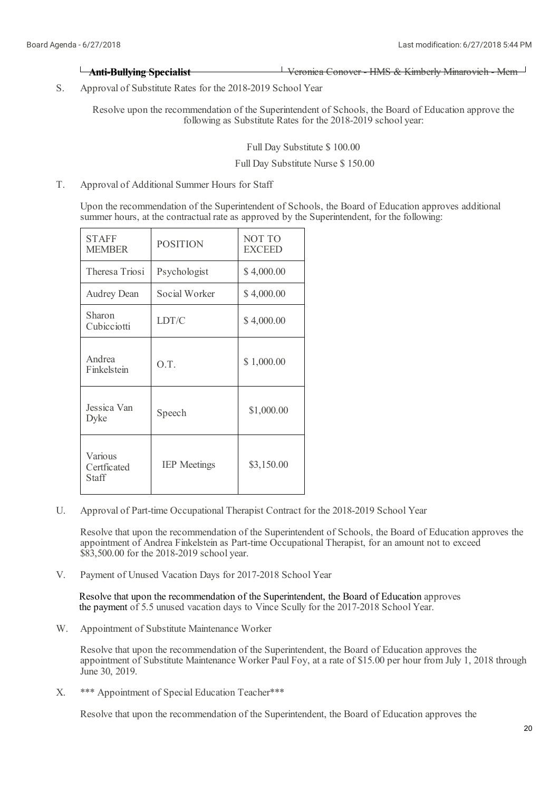# **Anti-Bullying Specialist** Veronica Conover - HMS & Kimberly Minarovich - Mem

S. Approval of Substitute Rates for the 2018-2019 School Year

> Resolve upon the recommendation of the Superintendent of Schools, the Board of Education approve the following as Substitute Rates for the 2018-2019 school year:

> > Full Day Substitute \$ 100.00

### Full Day Substitute Nurse \$ 150.00

T. Approval of Additional Summer Hours for Staff

> Upon the recommendation of the Superintendent of Schools, the Board of Education approves additional summer hours, at the contractual rate as approved by the Superintendent, for the following:

| <b>STAFF</b><br><b>MEMBER</b>          | <b>POSITION</b>     | NOT TO<br><b>EXCEED</b> |
|----------------------------------------|---------------------|-------------------------|
| Theresa Triosi                         | Psychologist        | \$4,000.00              |
| <b>Audrey Dean</b>                     | Social Worker       | \$4,000.00              |
| Sharon<br>Cubicciotti                  | LDT/C               | \$4,000.00              |
| Andrea<br>Finkelstein                  | O.T.                | \$1,000.00              |
| Jessica Van<br>Dyke                    | Speech              | \$1,000.00              |
| Various<br>Certficated<br><b>Staff</b> | <b>IEP</b> Meetings | \$3,150.00              |

U. Approval of Part-time Occupational Therapist Contract for the 2018-2019 School Year

Resolve that upon the recommendation of the Superintendent of Schools, the Board of Education approves the appointment of Andrea Finkelstein as Part-time Occupational Therapist, for an amount not to exceed \$83,500.00 for the 2018-2019 school year.

V. Payment of Unused Vacation Days for 2017-2018 School Year

Resolve that upon the recommendation of the Superintendent, the Board of Education approves the payment of 5.5 unused vacation days to Vince Scully for the 2017-2018 School Year.

W. Appointment of Substitute Maintenance Worker

> Resolve that upon the recommendation of the Superintendent, the Board of Education approves the appointment of Substitute Maintenance Worker Paul Foy, at a rate of \$15.00 per hour from July 1, 2018 through June 30, 2019.

X. \*\*\* Appointment of Special Education Teacher\*\*\*

Resolve that upon the recommendation of the Superintendent, the Board of Education approves the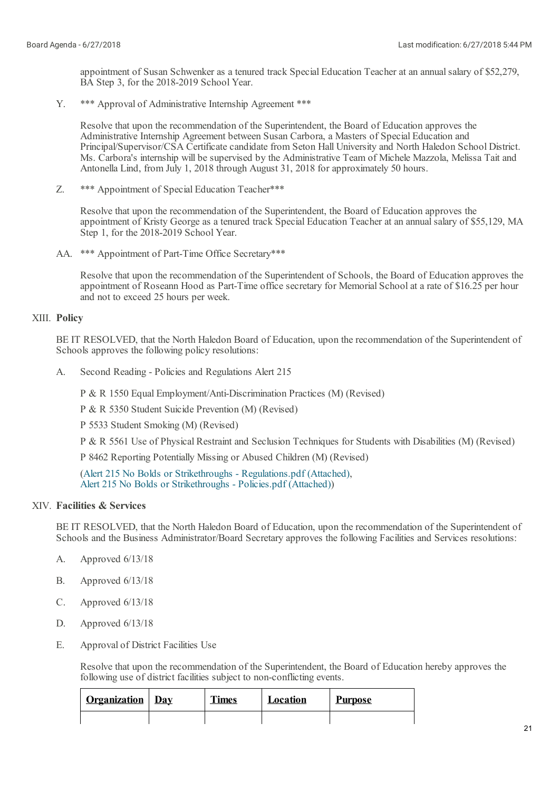appointment of Susan Schwenker as a tenured track Special Education Teacher at an annual salary of \$52,279, BA Step 3, for the 2018-2019 School Year.

Y. \*\*\* Approval of Administrative Internship Agreement \*\*\*

Resolve that upon the recommendation of the Superintendent, the Board of Education approves the Administrative Internship Agreement between Susan Carbora, a Masters of Special Education and Principal/Supervisor/CSA Certificate candidate from Seton Hall University and North Haledon School District. Ms. Carbora's internship will be supervised by the Administrative Team of Michele Mazzola, Melissa Tait and Antonella Lind, from July 1, 2018 through August 31, 2018 for approximately 50 hours.

Z. \*\*\* Appointment of Special Education Teacher\*\*\*

> Resolve that upon the recommendation of the Superintendent, the Board of Education approves the appointment of Kristy George as a tenured track Special Education Teacher at an annual salary of \$55,129, MA Step 1, for the 2018-2019 School Year.

AA. \*\*\* Appointment of Part-Time Office Secretary\*\*\*

Resolve that upon the recommendation of the Superintendent of Schools, the Board of Education approves the appointment of Roseann Hood as Part-Time office secretary for Memorial Schoolat a rate of \$16.25 per hour and not to exceed 25 hours per week.

# XIII. **Policy**

BE IT RESOLVED, that the North Haledon Board of Education, upon the recommendation of the Superintendent of Schools approves the following policy resolutions:

A. Second Reading - Policies and Regulations Alert 215

P & R 1550 Equal Employment/Anti-Discrimination Practices (M) (Revised)

P & R 5350 Student Suicide Prevention (M) (Revised)

P 5533 Student Smoking (M) (Revised)

P & R 5561 Use of Physical Restraint and Seclusion Techniques for Students with Disabilities (M) (Revised)

P 8462 Reporting Potentially Missing or Abused Children (M) (Revised)

(Alert 215 No Bolds or Strikethroughs - [Regulations.pdf](https://www.boardconnectnj.com/Item/DownloadAttachment/654) (Attached), Alert 215 No Bolds or [Strikethroughs](https://www.boardconnectnj.com/Item/DownloadAttachment/655) - Policies.pdf (Attached))

# XIV. **Facilities & Services**

BE IT RESOLVED, that the North Haledon Board of Education, upon the recommendation of the Superintendent of Schools and the Business Administrator/Board Secretary approves the following Facilities and Services resolutions:

- A. Approved 6/13/18
- B. Approved 6/13/18
- C. Approved 6/13/18
- D. Approved 6/13/18
- E. Approval of District Facilities Use

Resolve that upon the recommendation of the Superintendent, the Board of Education hereby approves the following use of district facilities subject to non-conflicting events.

| <b>Organization</b> Day | <b>Times</b> | Location | <b>Purpose</b> |
|-------------------------|--------------|----------|----------------|
|                         |              |          |                |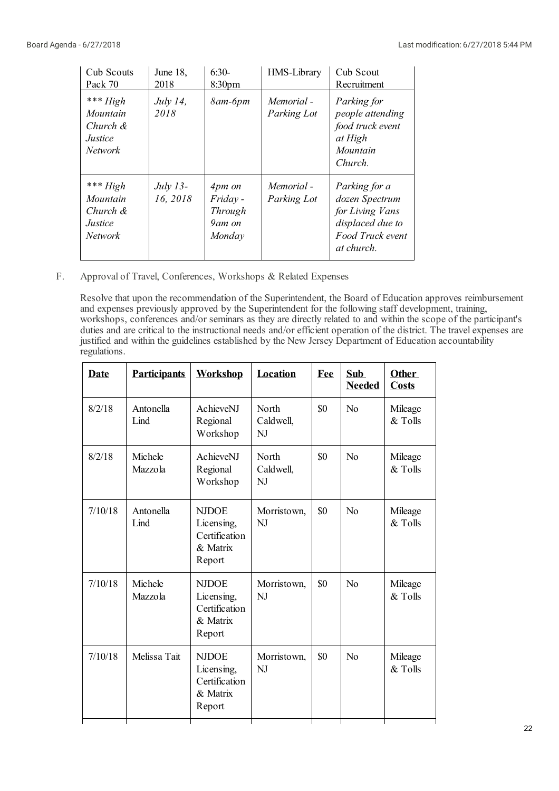| Cub Scouts<br>Pack 70                                           | June 18,<br>2018       | $6:30-$<br>8:30 <sub>pm</sub>                     | HMS-Library               | Cub Scout<br>Recruitment                                                                                 |
|-----------------------------------------------------------------|------------------------|---------------------------------------------------|---------------------------|----------------------------------------------------------------------------------------------------------|
| *** $High$<br>Mountain<br>Church &<br><i>Justice</i><br>Network | July 14,<br>2018       | $8$ am- $6$ pm                                    | Memorial -<br>Parking Lot | Parking for<br>people attending<br>food truck event<br>at High<br>Mountain<br>Church.                    |
| *** $High$<br>Mountain<br>Church &<br>Justice<br>Network        | $July 13-$<br>16, 2018 | 4pm on<br>Friday -<br>Through<br>9am on<br>Monday | Memorial -<br>Parking Lot | Parking for a<br>dozen Spectrum<br>for Living Vans<br>displaced due to<br>Food Truck event<br>at church. |

F. Approval of Travel, Conferences, Workshops & Related Expenses

Resolve that upon the recommendation of the Superintendent, the Board of Education approves reimbursement and expenses previously approved by the Superintendent for the following staff development, training, workshops, conferences and/or seminars as they are directly related to and within the scope of the participant's duties and are critical to the instructional needs and/or efficient operation of the district. The travel expenses are justified and within the guidelines established by the New Jersey Department of Education accountability regulations.

| Date    | <b>Participants</b> | <b>Workshop</b>                                                   | Location                 | Fee | Sub<br><b>Needed</b> | Other<br><b>Costs</b> |
|---------|---------------------|-------------------------------------------------------------------|--------------------------|-----|----------------------|-----------------------|
| 8/2/18  | Antonella<br>Lind   | AchieveNJ<br>Regional<br>Workshop                                 | North<br>Caldwell,<br>NJ | \$0 | No                   | Mileage<br>& Tolls    |
| 8/2/18  | Michele<br>Mazzola  | AchieveNJ<br>Regional<br>Workshop                                 | North<br>Caldwell,<br>NJ | \$0 | N <sub>o</sub>       | Mileage<br>& Tolls    |
| 7/10/18 | Antonella<br>Lind   | <b>NJDOE</b><br>Licensing,<br>Certification<br>& Matrix<br>Report | Morristown,<br>NJ        | \$0 | N <sub>0</sub>       | Mileage<br>& Tolls    |
| 7/10/18 | Michele<br>Mazzola  | <b>NJDOE</b><br>Licensing,<br>Certification<br>& Matrix<br>Report | Morristown,<br>NJ        | \$0 | No                   | Mileage<br>& Tolls    |
| 7/10/18 | Melissa Tait        | <b>NJDOE</b><br>Licensing,<br>Certification<br>& Matrix<br>Report | Morristown,<br>NJ        | \$0 | N <sub>0</sub>       | Mileage<br>& Tolls    |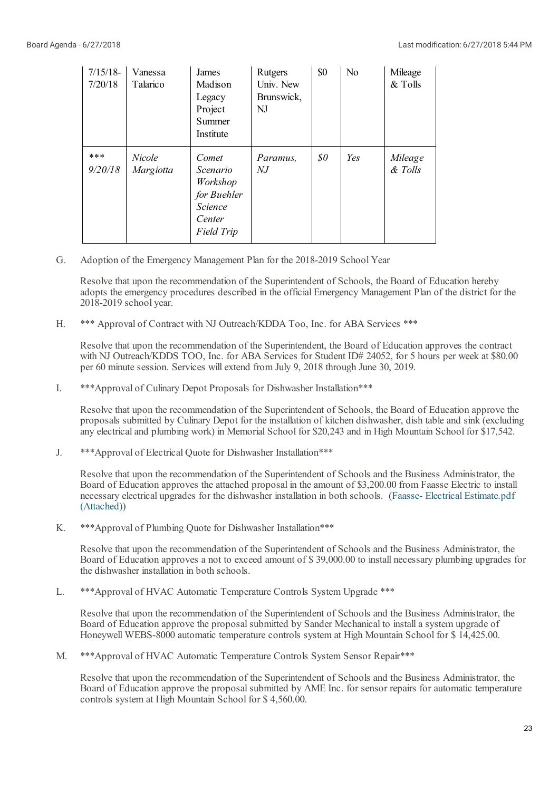| $7/15/18$ -<br>7/20/18 | Vanessa<br>Talarico | James<br>Madison<br>Legacy<br>Project<br>Summer<br>Institute                           | Rutgers<br>Univ. New<br>Brunswick,<br>NJ | \$0                          | N <sub>0</sub> | Mileage<br>& Tolls |
|------------------------|---------------------|----------------------------------------------------------------------------------------|------------------------------------------|------------------------------|----------------|--------------------|
| ***<br>9/20/18         | Nicole<br>Margiotta | Comet<br>Scenario<br>Workshop<br>for Buehler<br><i>Science</i><br>Center<br>Field Trip | Paramus,<br>$N_{\rm r}$                  | $\mathcal{S}^{\prime\prime}$ | Yes            | Mileage<br>& Tolls |

G. Adoption of the Emergency Management Plan for the 2018-2019 School Year

Resolve that upon the recommendation of the Superintendent of Schools, the Board of Education hereby adopts the emergency procedures described in the official Emergency Management Plan of the district for the 2018-2019 school year.

H. \*\*\* Approval of Contract with NJ Outreach/KDDA Too, Inc. for ABA Services \*\*\*

Resolve that upon the recommendation of the Superintendent, the Board of Education approves the contract with NJ Outreach/KDDS TOO, Inc. for ABA Services for Student ID# 24052, for 5 hours per week at \$80.00 per 60 minute session. Services willextend from July 9, 2018 through June 30, 2019.

I. \*\*\*Approval of Culinary Depot Proposals for Dishwasher Installation\*\*\*

Resolve that upon the recommendation of the Superintendent of Schools, the Board of Education approve the proposals submitted by Culinary Depot for the installation of kitchen dishwasher, dish table and sink (excluding any electricaland plumbing work) in Memorial School for \$20,243 and in High Mountain School for \$17,542.

J. \*\*\*Approval of Electrical Quote for Dishwasher Installation\*\*\*

Resolve that upon the recommendation of the Superintendent of Schools and the Business Administrator, the Board of Education approves the attached proposal in the amount of \$3,200.00 from Faasse Electric to install necessary electrical upgrades for the dishwasher installation in both schools. (Faasse- Electrical [Estimate.pdf](https://www.boardconnectnj.com/Item/DownloadAttachment/657) (Attached))

K. \*\*\*Approval of Plumbing Quote for Dishwasher Installation\*\*\*

Resolve that upon the recommendation of the Superintendent of Schools and the Business Administrator, the Board of Education approves a not to exceed amount of \$ 39,000.00 to install necessary plumbing upgrades for the dishwasher installation in both schools.

L. \*\*\*Approval of HVAC Automatic Temperature Controls System Upgrade \*\*\*

Resolve that upon the recommendation of the Superintendent of Schools and the Business Administrator, the Board of Education approve the proposal submitted by Sander Mechanical to installa system upgrade of Honeywell WEBS-8000 automatic temperature controls system at High Mountain School for \$ 14,425.00.

M. \*\*\*Approval of HVAC Automatic Temperature Controls System Sensor Repair\*\*\*

Resolve that upon the recommendation of the Superintendent of Schools and the Business Administrator, the Board of Education approve the proposal submitted by AME Inc. for sensor repairs for automatic temperature controls system at High Mountain School for \$ 4,560.00.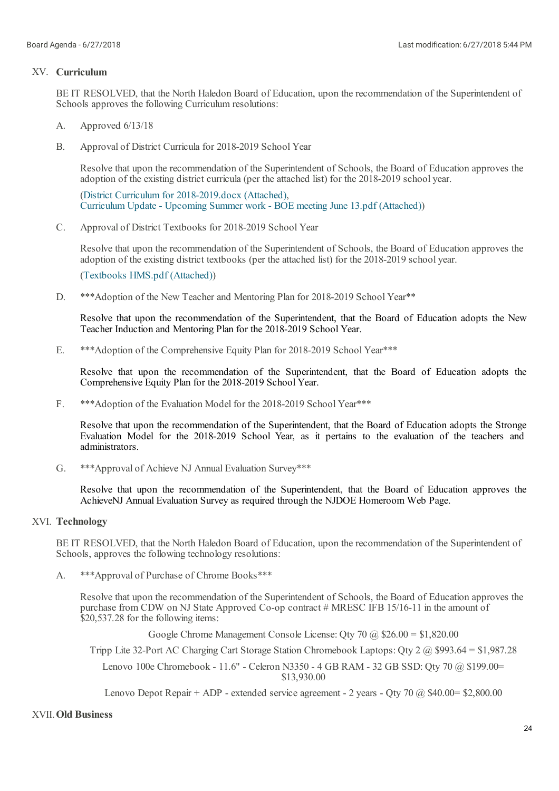# XV. **Curriculum**

BE IT RESOLVED, that the North Haledon Board of Education, upon the recommendation of the Superintendent of Schools approves the following Curriculum resolutions:

- A. Approved 6/13/18
- B. Approval of District Curricula for 2018-2019 School Year

Resolve that upon the recommendation of the Superintendent of Schools, the Board of Education approves the adoption of the existing district curricula (per the attached list) for the 2018-2019 school year.

(District Curriculum for [2018-2019.docx](https://www.boardconnectnj.com/Item/DownloadAttachment/639) (Attached), [Curriculum](https://www.boardconnectnj.com/Item/DownloadAttachment/640) Update - Upcoming Summer work - BOE meeting June 13.pdf (Attached))

C. Approval of District Textbooks for 2018-2019 School Year

Resolve that upon the recommendation of the Superintendent of Schools, the Board of Education approves the adoption of the existing district textbooks (per the attached list) for the 2018-2019 school year.

[\(Textbooks](https://www.boardconnectnj.com/Item/DownloadAttachment/641) HMS.pdf (Attached))

D. \*\*\*Adoption of the New Teacher and Mentoring Plan for 2018-2019 School Year\*\*

Resolve that upon the recommendation of the Superintendent, that the Board of Education adopts the New Teacher Induction and Mentoring Plan for the 2018-2019 School Year.

E. \*\*\*Adoption of the Comprehensive Equity Plan for 2018-2019 School Year\*\*\*

Resolve that upon the recommendation of the Superintendent, that the Board of Education adopts the Comprehensive Equity Plan for the 2018-2019 School Year.

F. \*\*\*Adoption of the Evaluation Model for the 2018-2019 School Year\*\*\*

Resolve that upon the recommendation of the Superintendent, that the Board of Education adopts the Stronge Evaluation Model for the 2018-2019 School Year, as it pertains to the evaluation of the teachers and administrators.

G. \*\*\*Approval of Achieve NJ Annual Evaluation Survey\*\*\*

Resolve that upon the recommendation of the Superintendent, that the Board of Education approves the AchieveNJ Annual Evaluation Survey as required through the NJDOE Homeroom Web Page.

# XVI. **Technology**

BE IT RESOLVED, that the North Haledon Board of Education, upon the recommendation of the Superintendent of Schools, approves the following technology resolutions:

A. \*\*\*Approval of Purchase of Chrome Books\*\*\*

> Resolve that upon the recommendation of the Superintendent of Schools, the Board of Education approves the purchase from CDW on NJ State Approved Co-op contract # MRESC IFB 15/16-11 in the amount of \$20,537.28 for the following items:

> > Google Chrome Management Console License: Qty 70 @ \$26.00 = \$1,820.00

Tripp Lite 32-Port AC Charging Cart Storage Station Chromebook Laptops: Qty 2 @ \$993.64 = \$1,987.28

Lenovo 100e Chromebook - 11.6" - Celeron N3350 - 4 GB RAM - 32 GB SSD: Qty 70 @ \$199.00= \$13,930.00

Lenovo Depot Repair + ADP - extended service agreement - 2 years - Qty 70  $\omega$  \$40.00 = \$2,800.00

## XVII.**Old Business**